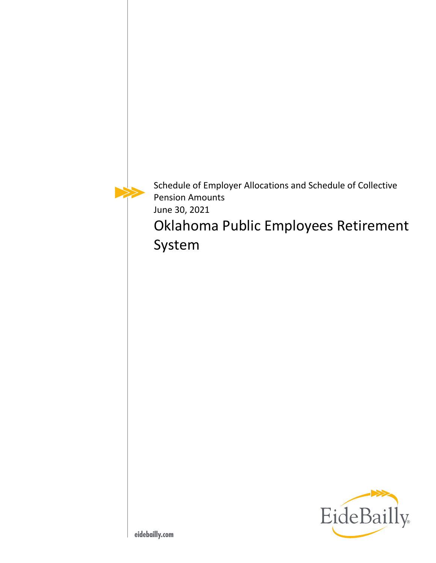Schedule of Employer Allocations and Schedule of Collective Pension Amounts June 30, 2021

Oklahoma Public Employees Retirement System

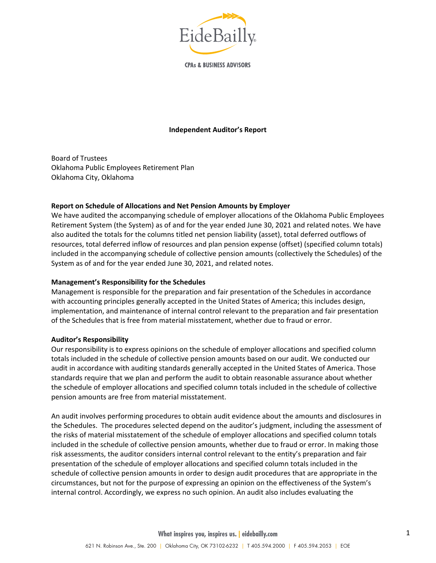

**CPAs & BUSINESS ADVISORS** 

#### **Independent Auditor's Report**

Board of Trustees Oklahoma Public Employees Retirement Plan Oklahoma City, Oklahoma

#### **Report on Schedule of Allocations and Net Pension Amounts by Employer**

We have audited the accompanying schedule of employer allocations of the Oklahoma Public Employees Retirement System (the System) as of and for the year ended June 30, 2021 and related notes. We have also audited the totals for the columns titled net pension liability (asset), total deferred outflows of resources, total deferred inflow of resources and plan pension expense (offset) (specified column totals) included in the accompanying schedule of collective pension amounts (collectively the Schedules) of the System as of and for the year ended June 30, 2021, and related notes.

#### **Management's Responsibility for the Schedules**

Management is responsible for the preparation and fair presentation of the Schedules in accordance with accounting principles generally accepted in the United States of America; this includes design, implementation, and maintenance of internal control relevant to the preparation and fair presentation of the Schedules that is free from material misstatement, whether due to fraud or error.

#### **Auditor's Responsibility**

Our responsibility is to express opinions on the schedule of employer allocations and specified column totals included in the schedule of collective pension amounts based on our audit. We conducted our audit in accordance with auditing standards generally accepted in the United States of America. Those standards require that we plan and perform the audit to obtain reasonable assurance about whether the schedule of employer allocations and specified column totals included in the schedule of collective pension amounts are free from material misstatement.

An audit involves performing procedures to obtain audit evidence about the amounts and disclosures in the Schedules. The procedures selected depend on the auditor's judgment, including the assessment of the risks of material misstatement of the schedule of employer allocations and specified column totals included in the schedule of collective pension amounts, whether due to fraud or error. In making those risk assessments, the auditor considers internal control relevant to the entity's preparation and fair presentation of the schedule of employer allocations and specified column totals included in the schedule of collective pension amounts in order to design audit procedures that are appropriate in the circumstances, but not for the purpose of expressing an opinion on the effectiveness of the System's internal control. Accordingly, we express no such opinion. An audit also includes evaluating the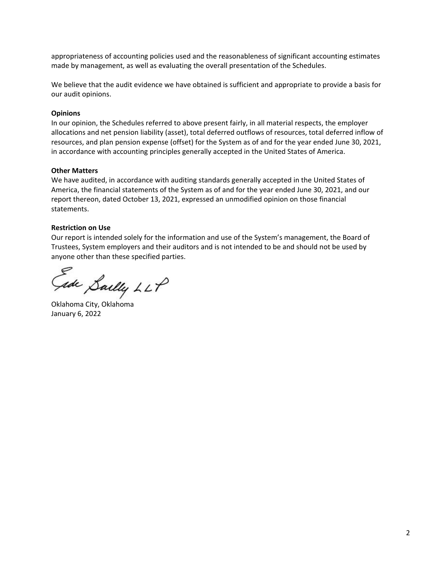appropriateness of accounting policies used and the reasonableness of significant accounting estimates made by management, as well as evaluating the overall presentation of the Schedules.

We believe that the audit evidence we have obtained is sufficient and appropriate to provide a basis for our audit opinions.

#### **Opinions**

In our opinion, the Schedules referred to above present fairly, in all material respects, the employer allocations and net pension liability (asset), total deferred outflows of resources, total deferred inflow of resources, and plan pension expense (offset) for the System as of and for the year ended June 30, 2021, in accordance with accounting principles generally accepted in the United States of America.

### **Other Matters**

We have audited, in accordance with auditing standards generally accepted in the United States of America, the financial statements of the System as of and for the year ended June 30, 2021, and our report thereon, dated October 13, 2021, expressed an unmodified opinion on those financial statements.

### **Restriction on Use**

Our report is intended solely for the information and use of the System's management, the Board of Trustees, System employers and their auditors and is not intended to be and should not be used by anyone other than these specified parties.

ade Saelly LLP

Oklahoma City, Oklahoma January 6, 2022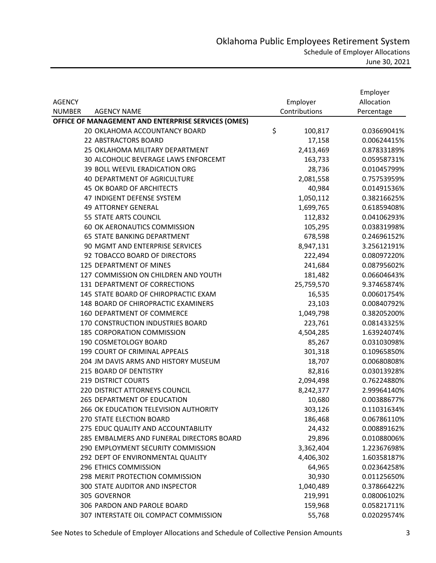|                                                     |               | Employer    |
|-----------------------------------------------------|---------------|-------------|
| <b>AGENCY</b>                                       | Employer      | Allocation  |
| <b>NUMBER</b><br><b>AGENCY NAME</b>                 | Contributions | Percentage  |
| OFFICE OF MANAGEMENT AND ENTERPRISE SERVICES (OMES) |               |             |
| 20 OKLAHOMA ACCOUNTANCY BOARD                       | \$<br>100,817 | 0.03669041% |
| 22 ABSTRACTORS BOARD                                | 17,158        | 0.00624415% |
| 25 OKLAHOMA MILITARY DEPARTMENT                     | 2,413,469     | 0.87833189% |
| 30 ALCOHOLIC BEVERAGE LAWS ENFORCEMT                | 163,733       | 0.05958731% |
| 39 BOLL WEEVIL ERADICATION ORG                      | 28,736        | 0.01045799% |
| <b>40 DEPARTMENT OF AGRICULTURE</b>                 | 2,081,558     | 0.75753959% |
| 45 OK BOARD OF ARCHITECTS                           | 40,984        | 0.01491536% |
| 47 INDIGENT DEFENSE SYSTEM                          | 1,050,112     | 0.38216625% |
| <b>49 ATTORNEY GENERAL</b>                          | 1,699,765     | 0.61859408% |
| 55 STATE ARTS COUNCIL                               | 112,832       | 0.04106293% |
| 60 OK AERONAUTICS COMMISSION                        | 105,295       | 0.03831998% |
| 65 STATE BANKING DEPARTMENT                         | 678,598       | 0.24696152% |
| 90 MGMT AND ENTERPRISE SERVICES                     | 8,947,131     | 3.25612191% |
| 92 TOBACCO BOARD OF DIRECTORS                       | 222,494       | 0.08097220% |
| 125 DEPARTMENT OF MINES                             | 241,684       | 0.08795602% |
| 127 COMMISSION ON CHILDREN AND YOUTH                | 181,482       | 0.06604643% |
| 131 DEPARTMENT OF CORRECTIONS                       | 25,759,570    | 9.37465874% |
| 145 STATE BOARD OF CHIROPRACTIC EXAM                | 16,535        | 0.00601754% |
| 148 BOARD OF CHIROPRACTIC EXAMINERS                 | 23,103        | 0.00840792% |
| 160 DEPARTMENT OF COMMERCE                          | 1,049,798     | 0.38205200% |
| 170 CONSTRUCTION INDUSTRIES BOARD                   | 223,761       | 0.08143325% |
| <b>185 CORPORATION COMMISSION</b>                   | 4,504,285     | 1.63924074% |
| 190 COSMETOLOGY BOARD                               | 85,267        | 0.03103098% |
| 199 COURT OF CRIMINAL APPEALS                       | 301,318       | 0.10965850% |
| 204 JM DAVIS ARMS AND HISTORY MUSEUM                | 18,707        | 0.00680808% |
| 215 BOARD OF DENTISTRY                              | 82,816        | 0.03013928% |
| <b>219 DISTRICT COURTS</b>                          | 2,094,498     | 0.76224880% |
| 220 DISTRICT ATTORNEYS COUNCIL                      | 8,242,377     | 2.99964140% |
| 265 DEPARTMENT OF EDUCATION                         | 10,680        | 0.00388677% |
| 266 OK EDUCATION TELEVISION AUTHORITY               | 303,126       | 0.11031634% |
| 270 STATE ELECTION BOARD                            | 186,468       | 0.06786110% |
| 275 EDUC QUALITY AND ACCOUNTABILITY                 | 24,432        | 0.00889162% |
| 285 EMBALMERS AND FUNERAL DIRECTORS BOARD           | 29,896        | 0.01088006% |
| 290 EMPLOYMENT SECURITY COMMISSION                  | 3,362,404     | 1.22367698% |
| 292 DEPT OF ENVIRONMENTAL QUALITY                   | 4,406,302     | 1.60358187% |
| 296 ETHICS COMMISSION                               | 64,965        | 0.02364258% |
| 298 MERIT PROTECTION COMMISSION                     | 30,930        | 0.01125650% |
| 300 STATE AUDITOR AND INSPECTOR                     | 1,040,489     | 0.37866422% |
| 305 GOVERNOR                                        | 219,991       | 0.08006102% |
| 306 PARDON AND PAROLE BOARD                         | 159,968       | 0.05821711% |
| 307 INTERSTATE OIL COMPACT COMMISSION               | 55,768        | 0.02029574% |

See Notes to Schedule of Employer Allocations and Schedule of Collective Pension Amounts 3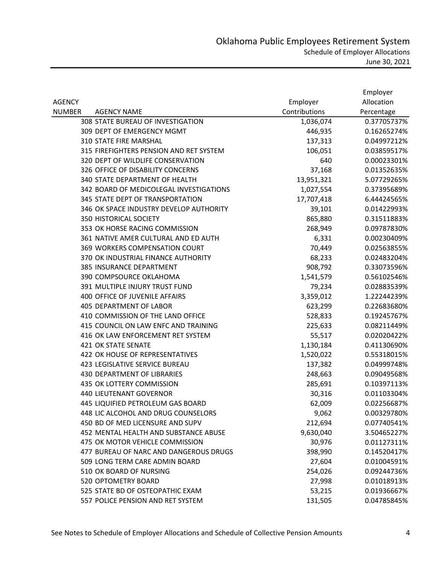|               |                                         |               | Employer    |
|---------------|-----------------------------------------|---------------|-------------|
| <b>AGENCY</b> |                                         | Employer      | Allocation  |
| <b>NUMBER</b> | <b>AGENCY NAME</b>                      | Contributions | Percentage  |
|               | 308 STATE BUREAU OF INVESTIGATION       | 1,036,074     | 0.37705737% |
|               | 309 DEPT OF EMERGENCY MGMT              | 446,935       | 0.16265274% |
|               | 310 STATE FIRE MARSHAL                  | 137,313       | 0.04997212% |
|               | 315 FIREFIGHTERS PENSION AND RET SYSTEM | 106,051       | 0.03859517% |
|               | 320 DEPT OF WILDLIFE CONSERVATION       | 640           | 0.00023301% |
|               | 326 OFFICE OF DISABILITY CONCERNS       | 37,168        | 0.01352635% |
|               | 340 STATE DEPARTMENT OF HEALTH          | 13,951,321    | 5.07729265% |
|               | 342 BOARD OF MEDICOLEGAL INVESTIGATIONS | 1,027,554     | 0.37395689% |
|               | 345 STATE DEPT OF TRANSPORTATION        | 17,707,418    | 6.44424565% |
|               | 346 OK SPACE INDUSTRY DEVELOP AUTHORITY | 39,101        | 0.01422993% |
|               | 350 HISTORICAL SOCIETY                  | 865,880       | 0.31511883% |
|               | 353 OK HORSE RACING COMMISSION          | 268,949       | 0.09787830% |
|               | 361 NATIVE AMER CULTURAL AND ED AUTH    | 6,331         | 0.00230409% |
|               | 369 WORKERS COMPENSATION COURT          | 70,449        | 0.02563855% |
|               | 370 OK INDUSTRIAL FINANCE AUTHORITY     | 68,233        | 0.02483204% |
|               | 385 INSURANCE DEPARTMENT                | 908,792       | 0.33073596% |
|               | 390 COMPSOURCE OKLAHOMA                 | 1,541,579     | 0.56102546% |
|               | 391 MULTIPLE INJURY TRUST FUND          | 79,234        | 0.02883539% |
|               | 400 OFFICE OF JUVENILE AFFAIRS          | 3,359,012     | 1.22244239% |
|               | <b>405 DEPARTMENT OF LABOR</b>          | 623,299       | 0.22683680% |
|               | 410 COMMISSION OF THE LAND OFFICE       | 528,833       | 0.19245767% |
|               | 415 COUNCIL ON LAW ENFC AND TRAINING    | 225,633       | 0.08211449% |
|               | 416 OK LAW ENFORCEMENT RET SYSTEM       | 55,517        | 0.02020422% |
|               | 421 OK STATE SENATE                     | 1,130,184     | 0.41130690% |
|               | 422 OK HOUSE OF REPRESENTATIVES         | 1,520,022     | 0.55318015% |
|               | 423 LEGISLATIVE SERVICE BUREAU          | 137,382       | 0.04999748% |
|               | 430 DEPARTMENT OF LIBRARIES             | 248,663       | 0.09049568% |
|               | 435 OK LOTTERY COMMISSION               | 285,691       | 0.10397113% |
|               | <b>440 LIEUTENANT GOVERNOR</b>          | 30,316        | 0.01103304% |
|               | 445 LIQUIFIED PETROLEUM GAS BOARD       | 62,009        | 0.02256687% |
|               | 448 LIC ALCOHOL AND DRUG COUNSELORS     | 9,062         | 0.00329780% |
|               | 450 BD OF MED LICENSURE AND SUPV        | 212,694       | 0.07740541% |
|               | 452 MENTAL HEALTH AND SUBSTANCE ABUSE   | 9,630,040     | 3.50465227% |
|               | 475 OK MOTOR VEHICLE COMMISSION         | 30,976        | 0.01127311% |
|               | 477 BUREAU OF NARC AND DANGEROUS DRUGS  | 398,990       | 0.14520417% |
|               | 509 LONG TERM CARE ADMIN BOARD          | 27,604        | 0.01004591% |
|               | 510 OK BOARD OF NURSING                 | 254,026       | 0.09244736% |
|               | 520 OPTOMETRY BOARD                     | 27,998        | 0.01018913% |
|               | 525 STATE BD OF OSTEOPATHIC EXAM        | 53,215        | 0.01936667% |
|               | 557 POLICE PENSION AND RET SYSTEM       | 131,505       | 0.04785845% |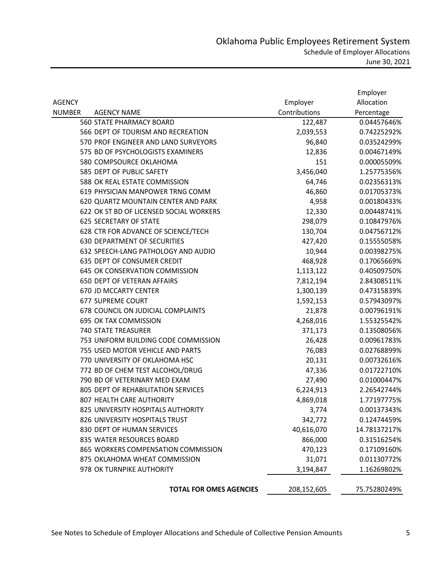|               |                                         |               | Employer     |
|---------------|-----------------------------------------|---------------|--------------|
| <b>AGENCY</b> |                                         | Employer      | Allocation   |
| <b>NUMBER</b> | <b>AGENCY NAME</b>                      | Contributions | Percentage   |
|               | <b>560 STATE PHARMACY BOARD</b>         | 122,487       | 0.04457646%  |
|               | 566 DEPT OF TOURISM AND RECREATION      | 2,039,553     | 0.74225292%  |
|               | 570 PROF ENGINEER AND LAND SURVEYORS    | 96,840        | 0.03524299%  |
|               | 575 BD OF PSYCHOLOGISTS EXAMINERS       | 12,836        | 0.00467149%  |
|               | 580 COMPSOURCE OKLAHOMA                 | 151           | 0.00005509%  |
|               | 585 DEPT OF PUBLIC SAFETY               | 3,456,040     | 1.25775356%  |
|               | 588 OK REAL ESTATE COMMISSION           | 64,746        | 0.02356313%  |
|               | 619 PHYSICIAN MANPOWER TRNG COMM        | 46,860        | 0.01705373%  |
|               | 620 QUARTZ MOUNTAIN CENTER AND PARK     | 4,958         | 0.00180433%  |
|               | 622 OK ST BD OF LICENSED SOCIAL WORKERS | 12,330        | 0.00448741%  |
|               | <b>625 SECRETARY OF STATE</b>           | 298,079       | 0.10847976%  |
|               | 628 CTR FOR ADVANCE OF SCIENCE/TECH     | 130,704       | 0.04756712%  |
|               | <b>630 DEPARTMENT OF SECURITIES</b>     | 427,420       | 0.15555058%  |
|               | 632 SPEECH-LANG PATHOLOGY AND AUDIO     | 10,944        | 0.00398275%  |
|               | 635 DEPT OF CONSUMER CREDIT             | 468,928       | 0.17065669%  |
|               | 645 OK CONSERVATION COMMISSION          | 1,113,122     | 0.40509750%  |
|               | <b>650 DEPT OF VETERAN AFFAIRS</b>      | 7,812,194     | 2.84308511%  |
|               | 670 JD MCCARTY CENTER                   | 1,300,139     | 0.47315839%  |
|               | 677 SUPREME COURT                       | 1,592,153     | 0.57943097%  |
|               | 678 COUNCIL ON JUDICIAL COMPLAINTS      | 21,878        | 0.00796191%  |
|               | 695 OK TAX COMMISSION                   | 4,268,016     | 1.55325542%  |
|               | <b>740 STATE TREASURER</b>              | 371,173       | 0.13508056%  |
|               | 753 UNIFORM BUILDING CODE COMMISSION    | 26,428        | 0.00961783%  |
|               | 755 USED MOTOR VEHICLE AND PARTS        | 76,083        | 0.02768899%  |
|               | 770 UNIVERSITY OF OKLAHOMA HSC          | 20,131        | 0.00732616%  |
|               | 772 BD OF CHEM TEST ALCOHOL/DRUG        | 47,336        | 0.01722710%  |
|               | 790 BD OF VETERINARY MED EXAM           | 27,490        | 0.01000447%  |
|               | 805 DEPT OF REHABILITATION SERVICES     | 6,224,913     | 2.26542744%  |
|               | 807 HEALTH CARE AUTHORITY               | 4,869,018     | 1.77197775%  |
|               | 825 UNIVERSITY HOSPITALS AUTHORITY      | 3,774         | 0.00137343%  |
|               | 826 UNIVERSITY HOSPITALS TRUST          | 342,772       | 0.12474459%  |
|               | 830 DEPT OF HUMAN SERVICES              | 40,616,070    | 14.78137217% |
|               | 835 WATER RESOURCES BOARD               | 866,000       | 0.31516254%  |
|               | 865 WORKERS COMPENSATION COMMISSION     | 470,123       | 0.17109160%  |
|               | 875 OKLAHOMA WHEAT COMMISSION           | 31,071        | 0.01130772%  |
|               | 978 OK TURNPIKE AUTHORITY               | 3,194,847     | 1.16269802%  |
|               | <b>TOTAL FOR OMES AGENCIES</b>          | 208,152,605   | 75.75280249% |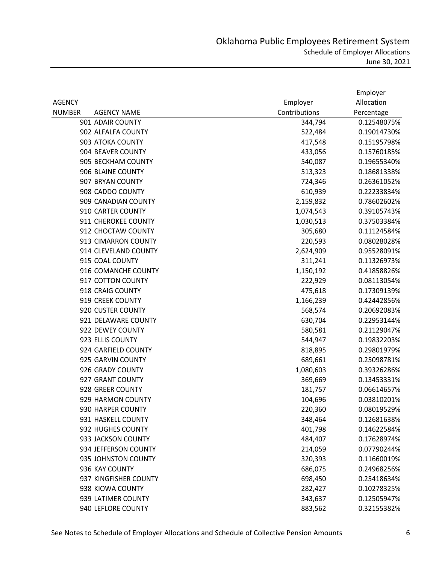|               |                       |               | Employer    |
|---------------|-----------------------|---------------|-------------|
| <b>AGENCY</b> |                       | Employer      | Allocation  |
| <b>NUMBER</b> | <b>AGENCY NAME</b>    | Contributions | Percentage  |
|               | 901 ADAIR COUNTY      | 344,794       | 0.12548075% |
|               | 902 ALFALFA COUNTY    | 522,484       | 0.19014730% |
|               | 903 ATOKA COUNTY      | 417,548       | 0.15195798% |
|               | 904 BEAVER COUNTY     | 433,056       | 0.15760185% |
|               | 905 BECKHAM COUNTY    | 540,087       | 0.19655340% |
|               | 906 BLAINE COUNTY     | 513,323       | 0.18681338% |
|               | 907 BRYAN COUNTY      | 724,346       | 0.26361052% |
|               | 908 CADDO COUNTY      | 610,939       | 0.22233834% |
|               | 909 CANADIAN COUNTY   | 2,159,832     | 0.78602602% |
|               | 910 CARTER COUNTY     | 1,074,543     | 0.39105743% |
|               | 911 CHEROKEE COUNTY   | 1,030,513     | 0.37503384% |
|               | 912 CHOCTAW COUNTY    | 305,680       | 0.11124584% |
|               | 913 CIMARRON COUNTY   | 220,593       | 0.08028028% |
|               | 914 CLEVELAND COUNTY  | 2,624,909     | 0.95528091% |
|               | 915 COAL COUNTY       | 311,241       | 0.11326973% |
|               | 916 COMANCHE COUNTY   | 1,150,192     | 0.41858826% |
|               | 917 COTTON COUNTY     | 222,929       | 0.08113054% |
|               | 918 CRAIG COUNTY      | 475,618       | 0.17309139% |
|               | 919 CREEK COUNTY      | 1,166,239     | 0.42442856% |
|               | 920 CUSTER COUNTY     | 568,574       | 0.20692083% |
|               | 921 DELAWARE COUNTY   | 630,704       | 0.22953144% |
|               | 922 DEWEY COUNTY      | 580,581       | 0.21129047% |
|               | 923 ELLIS COUNTY      | 544,947       | 0.19832203% |
|               | 924 GARFIELD COUNTY   | 818,895       | 0.29801979% |
|               | 925 GARVIN COUNTY     | 689,661       | 0.25098781% |
|               | 926 GRADY COUNTY      | 1,080,603     | 0.39326286% |
|               | 927 GRANT COUNTY      | 369,669       | 0.13453331% |
|               | 928 GREER COUNTY      | 181,757       | 0.06614657% |
|               | 929 HARMON COUNTY     | 104,696       | 0.03810201% |
|               | 930 HARPER COUNTY     | 220,360       | 0.08019529% |
|               | 931 HASKELL COUNTY    | 348,464       | 0.12681638% |
|               | 932 HUGHES COUNTY     | 401,798       | 0.14622584% |
|               | 933 JACKSON COUNTY    | 484,407       | 0.17628974% |
|               | 934 JEFFERSON COUNTY  | 214,059       | 0.07790244% |
|               | 935 JOHNSTON COUNTY   | 320,393       | 0.11660019% |
|               | 936 KAY COUNTY        | 686,075       | 0.24968256% |
|               | 937 KINGFISHER COUNTY | 698,450       | 0.25418634% |
|               | 938 KIOWA COUNTY      | 282,427       | 0.10278325% |
|               | 939 LATIMER COUNTY    | 343,637       | 0.12505947% |
|               | 940 LEFLORE COUNTY    | 883,562       | 0.32155382% |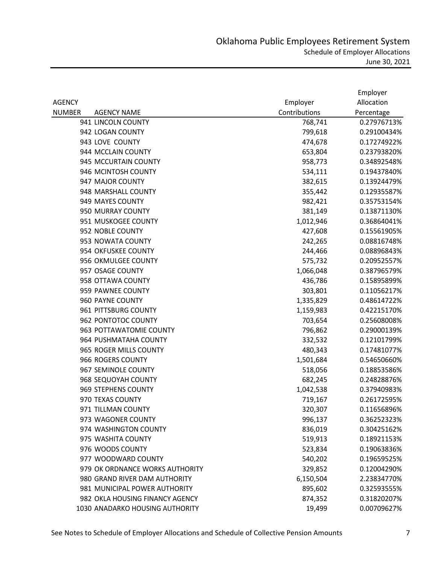|               |                                 |               | Employer    |
|---------------|---------------------------------|---------------|-------------|
| <b>AGENCY</b> |                                 | Employer      | Allocation  |
| <b>NUMBER</b> | <b>AGENCY NAME</b>              | Contributions | Percentage  |
|               | 941 LINCOLN COUNTY              | 768,741       | 0.27976713% |
|               | 942 LOGAN COUNTY                | 799,618       | 0.29100434% |
|               | 943 LOVE COUNTY                 | 474,678       | 0.17274922% |
|               | 944 MCCLAIN COUNTY              | 653,804       | 0.23793820% |
|               | 945 MCCURTAIN COUNTY            | 958,773       | 0.34892548% |
|               | 946 MCINTOSH COUNTY             | 534,111       | 0.19437840% |
|               | 947 MAJOR COUNTY                | 382,615       | 0.13924479% |
|               | 948 MARSHALL COUNTY             | 355,442       | 0.12935587% |
|               | 949 MAYES COUNTY                | 982,421       | 0.35753154% |
|               | 950 MURRAY COUNTY               | 381,149       | 0.13871130% |
|               | 951 MUSKOGEE COUNTY             | 1,012,946     | 0.36864041% |
|               | 952 NOBLE COUNTY                | 427,608       | 0.15561905% |
|               | 953 NOWATA COUNTY               | 242,265       | 0.08816748% |
|               | 954 OKFUSKEE COUNTY             | 244,466       | 0.08896843% |
|               | 956 OKMULGEE COUNTY             | 575,732       | 0.20952557% |
|               | 957 OSAGE COUNTY                | 1,066,048     | 0.38796579% |
|               | 958 OTTAWA COUNTY               | 436,786       | 0.15895899% |
|               | 959 PAWNEE COUNTY               | 303,801       | 0.11056217% |
|               | 960 PAYNE COUNTY                | 1,335,829     | 0.48614722% |
|               | 961 PITTSBURG COUNTY            | 1,159,983     | 0.42215170% |
|               | 962 PONTOTOC COUNTY             | 703,654       | 0.25608008% |
|               | 963 POTTAWATOMIE COUNTY         | 796,862       | 0.29000139% |
|               | 964 PUSHMATAHA COUNTY           | 332,532       | 0.12101799% |
|               | 965 ROGER MILLS COUNTY          | 480,343       | 0.17481077% |
|               | 966 ROGERS COUNTY               | 1,501,684     | 0.54650660% |
|               | 967 SEMINOLE COUNTY             | 518,056       | 0.18853586% |
|               | 968 SEQUOYAH COUNTY             | 682,245       | 0.24828876% |
|               | 969 STEPHENS COUNTY             | 1,042,538     | 0.37940983% |
|               | 970 TEXAS COUNTY                | 719,167       | 0.26172595% |
|               | 971 TILLMAN COUNTY              | 320,307       | 0.11656896% |
|               | 973 WAGONER COUNTY              | 996,137       | 0.36252323% |
|               | 974 WASHINGTON COUNTY           | 836,019       | 0.30425162% |
|               | 975 WASHITA COUNTY              | 519,913       | 0.18921153% |
|               | 976 WOODS COUNTY                | 523,834       | 0.19063836% |
|               | 977 WOODWARD COUNTY             | 540,202       | 0.19659525% |
|               | 979 OK ORDNANCE WORKS AUTHORITY | 329,852       | 0.12004290% |
|               | 980 GRAND RIVER DAM AUTHORITY   | 6,150,504     | 2.23834770% |
|               | 981 MUNICIPAL POWER AUTHORITY   | 895,602       | 0.32593555% |
|               | 982 OKLA HOUSING FINANCY AGENCY | 874,352       | 0.31820207% |
|               | 1030 ANADARKO HOUSING AUTHORITY | 19,499        | 0.00709627% |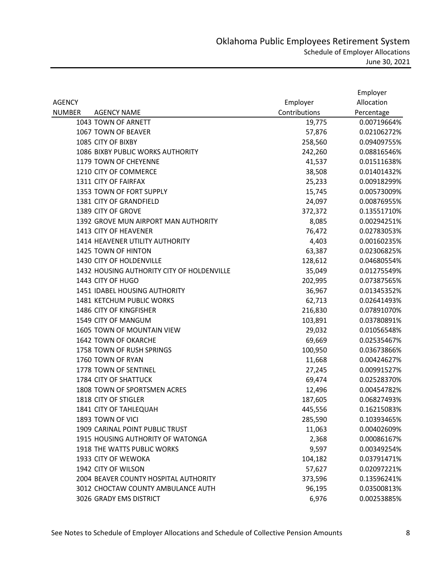|               |                                              |               | Employer    |
|---------------|----------------------------------------------|---------------|-------------|
| <b>AGENCY</b> |                                              | Employer      | Allocation  |
| <b>NUMBER</b> | <b>AGENCY NAME</b>                           | Contributions | Percentage  |
|               | 1043 TOWN OF ARNETT                          | 19,775        | 0.00719664% |
|               | 1067 TOWN OF BEAVER                          | 57,876        | 0.02106272% |
|               | 1085 CITY OF BIXBY                           | 258,560       | 0.09409755% |
|               | 1086 BIXBY PUBLIC WORKS AUTHORITY            | 242,260       | 0.08816546% |
|               | 1179 TOWN OF CHEYENNE                        | 41,537        | 0.01511638% |
|               | 1210 CITY OF COMMERCE                        | 38,508        | 0.01401432% |
|               | 1311 CITY OF FAIRFAX                         | 25,233        | 0.00918299% |
|               | 1353 TOWN OF FORT SUPPLY                     | 15,745        | 0.00573009% |
|               | 1381 CITY OF GRANDFIELD                      | 24,097        | 0.00876955% |
|               | 1389 CITY OF GROVE                           | 372,372       | 0.13551710% |
|               | 1392 GROVE MUN AIRPORT MAN AUTHORITY         | 8,085         | 0.00294251% |
|               | 1413 CITY OF HEAVENER                        | 76,472        | 0.02783053% |
|               | 1414 HEAVENER UTILITY AUTHORITY              | 4,403         | 0.00160235% |
|               | 1425 TOWN OF HINTON                          | 63,387        | 0.02306825% |
|               | 1430 CITY OF HOLDENVILLE                     | 128,612       | 0.04680554% |
|               | 1432 HOUSING AUTHORITY CITY OF HOLDENVILLE   | 35,049        | 0.01275549% |
|               | 1443 CITY OF HUGO                            | 202,995       | 0.07387565% |
|               | 1451 IDABEL HOUSING AUTHORITY                | 36,967        | 0.01345352% |
|               | 1481 KETCHUM PUBLIC WORKS                    | 62,713        | 0.02641493% |
|               | 1486 CITY OF KINGFISHER                      | 216,830       | 0.07891070% |
|               | 1549 CITY OF MANGUM                          | 103,891       | 0.03780891% |
|               | 1605 TOWN OF MOUNTAIN VIEW                   | 29,032        | 0.01056548% |
|               | 1642 TOWN OF OKARCHE                         | 69,669        | 0.02535467% |
|               | 1758 TOWN OF RUSH SPRINGS                    | 100,950       | 0.03673866% |
|               | 1760 TOWN OF RYAN                            | 11,668        | 0.00424627% |
|               | 1778 TOWN OF SENTINEL                        | 27,245        | 0.00991527% |
|               | 1784 CITY OF SHATTUCK                        | 69,474        | 0.02528370% |
|               | 1808 TOWN OF SPORTSMEN ACRES                 | 12,496        | 0.00454782% |
|               | 1818 CITY OF STIGLER                         | 187,605       | 0.06827493% |
|               | 1841 CITY OF TAHLEQUAH                       | 445,556       | 0.16215083% |
|               | 1893 TOWN OF VICI                            | 285,590       | 0.10393465% |
|               | 1909 CARINAL POINT PUBLIC TRUST              | 11,063        | 0.00402609% |
|               | 1915 HOUSING AUTHORITY OF WATONGA            | 2,368         | 0.00086167% |
|               | 1918 THE WATTS PUBLIC WORKS                  | 9,597         | 0.00349254% |
|               | 1933 CITY OF WEWOKA                          | 104,182       | 0.03791471% |
|               | 1942 CITY OF WILSON                          | 57,627        | 0.02097221% |
|               | <b>2004 BEAVER COUNTY HOSPITAL AUTHORITY</b> | 373,596       | 0.13596241% |
|               | 3012 CHOCTAW COUNTY AMBULANCE AUTH           | 96,195        | 0.03500813% |
|               | 3026 GRADY EMS DISTRICT                      | 6,976         | 0.00253885% |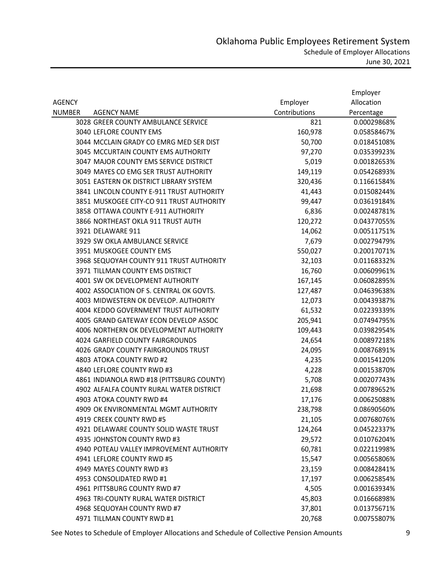|               |                                           |               | Employer    |
|---------------|-------------------------------------------|---------------|-------------|
| <b>AGENCY</b> |                                           | Employer      | Allocation  |
| <b>NUMBER</b> | <b>AGENCY NAME</b>                        | Contributions | Percentage  |
|               | 3028 GREER COUNTY AMBULANCE SERVICE       | 821           | 0.00029868% |
|               | 3040 LEFLORE COUNTY EMS                   | 160,978       | 0.05858467% |
|               | 3044 MCCLAIN GRADY CO EMRG MED SER DIST   | 50,700        | 0.01845108% |
|               | 3045 MCCURTAIN COUNTY EMS AUTHORITY       | 97,270        | 0.03539923% |
|               | 3047 MAJOR COUNTY EMS SERVICE DISTRICT    | 5,019         | 0.00182653% |
|               | 3049 MAYES CO EMG SER TRUST AUTHORITY     | 149,119       | 0.05426893% |
|               | 3051 EASTERN OK DISTRICT LIBRARY SYSTEM   | 320,436       | 0.11661584% |
|               | 3841 LINCOLN COUNTY E-911 TRUST AUTHORITY | 41,443        | 0.01508244% |
|               | 3851 MUSKOGEE CITY-CO 911 TRUST AUTHORITY | 99,447        | 0.03619184% |
|               | 3858 OTTAWA COUNTY E-911 AUTHORITY        | 6,836         | 0.00248781% |
|               | 3866 NORTHEAST OKLA 911 TRUST AUTH        | 120,272       | 0.04377055% |
|               | 3921 DELAWARE 911                         | 14,062        | 0.00511751% |
|               | 3929 SW OKLA AMBULANCE SERVICE            | 7,679         | 0.00279479% |
|               | 3951 MUSKOGEE COUNTY EMS                  | 550,027       | 0.20017071% |
|               | 3968 SEQUOYAH COUNTY 911 TRUST AUTHORITY  | 32,103        | 0.01168332% |
|               | 3971 TILLMAN COUNTY EMS DISTRICT          | 16,760        | 0.00609961% |
|               | 4001 SW OK DEVELOPMENT AUTHORITY          | 167,145       | 0.06082895% |
|               | 4002 ASSOCIATION OF S. CENTRAL OK GOVTS.  | 127,487       | 0.04639638% |
|               | 4003 MIDWESTERN OK DEVELOP. AUTHORITY     | 12,073        | 0.00439387% |
|               | 4004 KEDDO GOVERNMENT TRUST AUTHORITY     | 61,532        | 0.02239339% |
|               | 4005 GRAND GATEWAY ECON DEVELOP ASSOC     | 205,941       | 0.07494795% |
|               | 4006 NORTHERN OK DEVELOPMENT AUTHORITY    | 109,443       | 0.03982954% |
|               | 4024 GARFIELD COUNTY FAIRGROUNDS          | 24,654        | 0.00897218% |
|               | 4026 GRADY COUNTY FAIRGROUNDS TRUST       | 24,095        | 0.00876891% |
|               | 4803 ATOKA COUNTY RWD #2                  | 4,235         | 0.00154120% |
|               | 4840 LEFLORE COUNTY RWD #3                | 4,228         | 0.00153870% |
|               | 4861 INDIANOLA RWD #18 (PITTSBURG COUNTY) | 5,708         | 0.00207743% |
|               | 4902 ALFALFA COUNTY RURAL WATER DISTRICT  | 21,698        | 0.00789652% |
|               | 4903 ATOKA COUNTY RWD #4                  | 17,176        | 0.00625088% |
|               | 4909 OK ENVIRONMENTAL MGMT AUTHORITY      | 238,798       | 0.08690560% |
|               | 4919 CREEK COUNTY RWD #5                  | 21,105        | 0.00768076% |
|               | 4921 DELAWARE COUNTY SOLID WASTE TRUST    | 124,264       | 0.04522337% |
|               | 4935 JOHNSTON COUNTY RWD #3               | 29,572        | 0.01076204% |
|               | 4940 POTEAU VALLEY IMPROVEMENT AUTHORITY  | 60,781        | 0.02211998% |
|               | 4941 LEFLORE COUNTY RWD #5                | 15,547        | 0.00565806% |
|               | 4949 MAYES COUNTY RWD #3                  | 23,159        | 0.00842841% |
|               | 4953 CONSOLIDATED RWD #1                  | 17,197        | 0.00625854% |
|               | 4961 PITTSBURG COUNTY RWD #7              | 4,505         | 0.00163934% |
|               | 4963 TRI-COUNTY RURAL WATER DISTRICT      | 45,803        | 0.01666898% |
|               | 4968 SEQUOYAH COUNTY RWD #7               | 37,801        | 0.01375671% |
|               | 4971 TILLMAN COUNTY RWD #1                | 20,768        | 0.00755807% |

See Notes to Schedule of Employer Allocations and Schedule of Collective Pension Amounts 9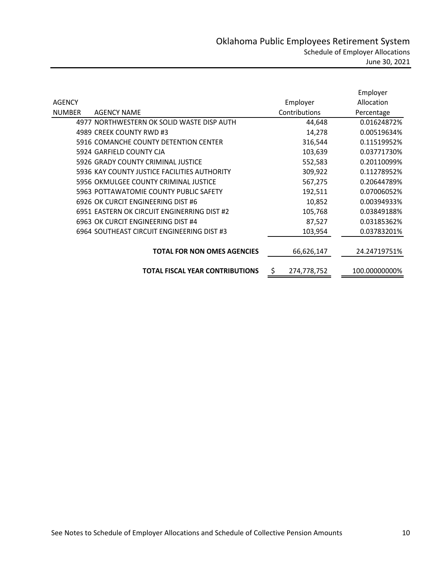|               |                                              |                   | Employer      |
|---------------|----------------------------------------------|-------------------|---------------|
| <b>AGENCY</b> |                                              | Employer          | Allocation    |
| <b>NUMBER</b> | <b>AGENCY NAME</b>                           | Contributions     | Percentage    |
|               | 4977 NORTHWESTERN OK SOLID WASTE DISP AUTH   | 44,648            | 0.01624872%   |
|               | 4989 CREEK COUNTY RWD #3                     | 14,278            | 0.00519634%   |
|               | 5916 COMANCHE COUNTY DETENTION CENTER        | 316,544           | 0.11519952%   |
|               | 5924 GARFIELD COUNTY CJA                     | 103,639           | 0.03771730%   |
|               | 5926 GRADY COUNTY CRIMINAL JUSTICE           | 552,583           | 0.20110099%   |
|               | 5936 KAY COUNTY JUSTICE FACILITIES AUTHORITY | 309,922           | 0.11278952%   |
|               | 5956 OKMULGEE COUNTY CRIMINAL JUSTICE        | 567,275           | 0.20644789%   |
|               | 5963 POTTAWATOMIE COUNTY PUBLIC SAFETY       | 192,511           | 0.07006052%   |
|               | 6926 OK CURCIT ENGINEERING DIST #6           | 10,852            | 0.00394933%   |
|               | 6951 EASTERN OK CIRCUIT ENGINERRING DIST #2  | 105,768           | 0.03849188%   |
|               | 6963 OK CURCIT ENGINEERING DIST #4           | 87,527            | 0.03185362%   |
|               | 6964 SOUTHEAST CIRCUIT ENGINEERING DIST #3   | 103,954           | 0.03783201%   |
|               |                                              |                   |               |
|               | <b>TOTAL FOR NON OMES AGENCIES</b>           | 66,626,147        | 24.24719751%  |
|               |                                              |                   |               |
|               | <b>TOTAL FISCAL YEAR CONTRIBUTIONS</b>       | \$<br>274,778,752 | 100.00000000% |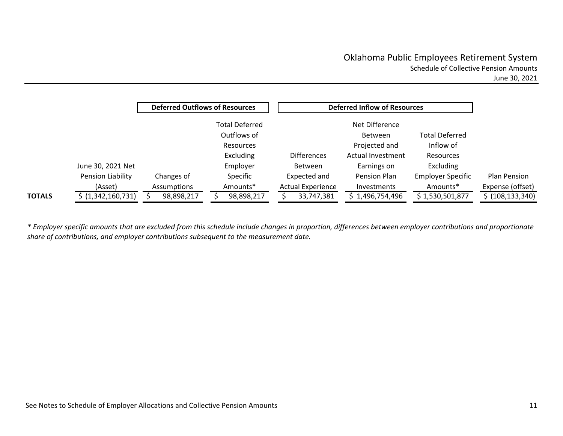|               |                   |             | <b>Deferred Outflows of Resources</b> |                          | <b>Deferred Inflow of Resources</b> |                          |                    |
|---------------|-------------------|-------------|---------------------------------------|--------------------------|-------------------------------------|--------------------------|--------------------|
|               |                   |             | <b>Total Deferred</b>                 |                          | Net Difference                      |                          |                    |
|               |                   |             | Outflows of                           |                          | <b>Between</b>                      | <b>Total Deferred</b>    |                    |
|               |                   |             | Resources                             |                          | Projected and                       | Inflow of                |                    |
|               |                   |             | <b>Excluding</b>                      | <b>Differences</b>       | Actual Investment                   | <b>Resources</b>         |                    |
|               | June 30, 2021 Net |             | Employer                              | <b>Between</b>           | Earnings on                         | Excluding                |                    |
|               | Pension Liability | Changes of  | Specific                              | Expected and             | Pension Plan                        | <b>Employer Specific</b> | Plan Pension       |
|               | (Asset)           | Assumptions | Amounts*                              | <b>Actual Experience</b> | <b>Investments</b>                  | Amounts*                 | Expense (offset)   |
| <b>TOTALS</b> | (1,342,160,731)   | 98,898,217  | 98,898,217                            | 33,747,381               | 1,496,754,496                       | \$1,530,501,877          | \$ (108, 133, 340) |

\* Employer specific amounts that are excluded from this schedule include changes in proportion, differences between employer contributions and proportionate *share of contributions, and employer contributions subsequent to the measurement date.*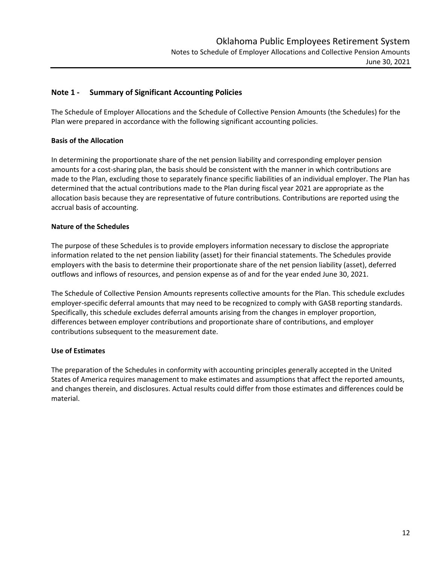# **Note 1 ‐ Summary of Significant Accounting Policies**

The Schedule of Employer Allocations and the Schedule of Collective Pension Amounts (the Schedules) for the Plan were prepared in accordance with the following significant accounting policies.

# **Basis of the Allocation**

In determining the proportionate share of the net pension liability and corresponding employer pension amounts for a cost-sharing plan, the basis should be consistent with the manner in which contributions are made to the Plan, excluding those to separately finance specific liabilities of an individual employer. The Plan has determined that the actual contributions made to the Plan during fiscal year 2021 are appropriate as the allocation basis because they are representative of future contributions. Contributions are reported using the accrual basis of accounting.

### **Nature of the Schedules**

The purpose of these Schedules is to provide employers information necessary to disclose the appropriate information related to the net pension liability (asset) for their financial statements. The Schedules provide employers with the basis to determine their proportionate share of the net pension liability (asset), deferred outflows and inflows of resources, and pension expense as of and for the year ended June 30, 2021.

The Schedule of Collective Pension Amounts represents collective amounts for the Plan. This schedule excludes employer-specific deferral amounts that may need to be recognized to comply with GASB reporting standards. Specifically, this schedule excludes deferral amounts arising from the changes in employer proportion, differences between employer contributions and proportionate share of contributions, and employer contributions subsequent to the measurement date.

# **Use of Estimates**

The preparation of the Schedules in conformity with accounting principles generally accepted in the United States of America requires management to make estimates and assumptions that affect the reported amounts, and changes therein, and disclosures. Actual results could differ from those estimates and differences could be material.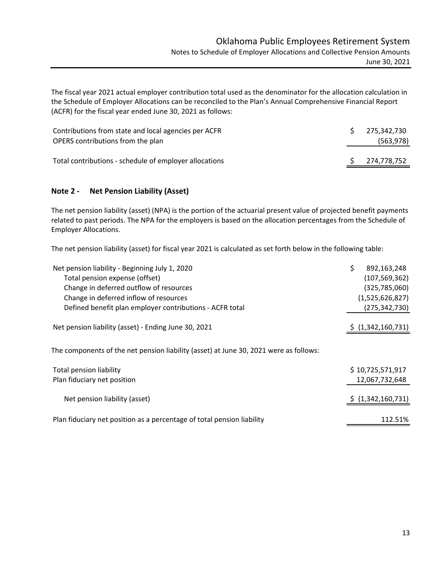The fiscal year 2021 actual employer contribution total used as the denominator for the allocation calculation in the Schedule of Employer Allocations can be reconciled to the Plan's Annual Comprehensive Financial Report (ACFR) for the fiscal year ended June 30, 2021 as follows:

| Contributions from state and local agencies per ACFR   | 275.342.730 |
|--------------------------------------------------------|-------------|
| OPERS contributions from the plan                      | (563, 978)  |
| Total contributions - schedule of employer allocations | 274,778,752 |

# **Note 2 ‐ Net Pension Liability (Asset)**

The net pension liability (asset) (NPA) is the portion of the actuarial present value of projected benefit payments related to past periods. The NPA for the employers is based on the allocation percentages from the Schedule of Employer Allocations.

The net pension liability (asset) for fiscal year 2021 is calculated as set forth below in the following table:

| Net pension liability - Beginning July 1, 2020                                        | \$<br>892,163,248  |
|---------------------------------------------------------------------------------------|--------------------|
| Total pension expense (offset)                                                        | (107, 569, 362)    |
| Change in deferred outflow of resources                                               | (325, 785, 060)    |
| Change in deferred inflow of resources                                                | (1,525,626,827)    |
| Defined benefit plan employer contributions - ACFR total                              | (275, 342, 730)    |
|                                                                                       |                    |
| Net pension liability (asset) - Ending June 30, 2021                                  | \$ (1,342,160,731) |
|                                                                                       |                    |
| The components of the net pension liability (asset) at June 30, 2021 were as follows: |                    |
| <b>Total pension liability</b>                                                        | \$10,725,571,917   |
| Plan fiduciary net position                                                           | 12,067,732,648     |
|                                                                                       |                    |
| Net pension liability (asset)                                                         | \$ (1,342,160,731) |
| Plan fiduciary net position as a percentage of total pension liability                | 112.51%            |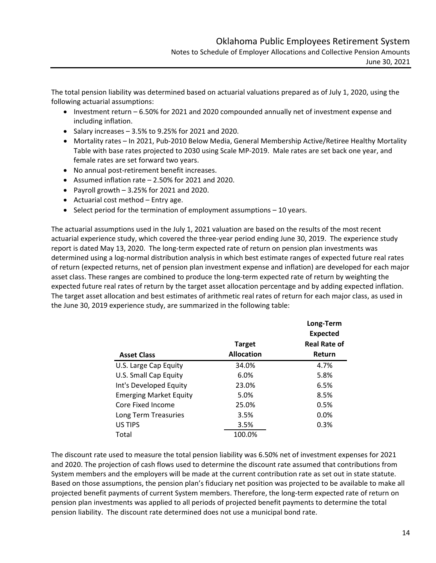**Long‐Term**

The total pension liability was determined based on actuarial valuations prepared as of July 1, 2020, using the following actuarial assumptions:

- Investment return 6.50% for 2021 and 2020 compounded annually net of investment expense and including inflation.
- Salary increases  $-3.5%$  to 9.25% for 2021 and 2020.
- Mortality rates In 2021, Pub-2010 Below Media, General Membership Active/Retiree Healthy Mortality Table with base rates projected to 2030 using Scale MP‐2019. Male rates are set back one year, and female rates are set forward two years.
- No annual post-retirement benefit increases.
- Assumed inflation rate 2.50% for 2021 and 2020.
- Payroll growth  $-3.25%$  for 2021 and 2020.
- $\bullet$  Actuarial cost method Entry age.
- $\bullet$  Select period for the termination of employment assumptions  $-10$  years.

The actuarial assumptions used in the July 1, 2021 valuation are based on the results of the most recent actuarial experience study, which covered the three‐year period ending June 30, 2019. The experience study report is dated May 13, 2020. The long-term expected rate of return on pension plan investments was determined using a log-normal distribution analysis in which best estimate ranges of expected future real rates of return (expected returns, net of pension plan investment expense and inflation) are developed for each major asset class. These ranges are combined to produce the long-term expected rate of return by weighting the expected future real rates of return by the target asset allocation percentage and by adding expected inflation. The target asset allocation and best estimates of arithmetic real rates of return for each major class, as used in the June 30, 2019 experience study, are summarized in the following table:

|                               |                   | LUIR-ICHII          |  |  |  |
|-------------------------------|-------------------|---------------------|--|--|--|
|                               |                   | <b>Expected</b>     |  |  |  |
|                               | <b>Target</b>     | <b>Real Rate of</b> |  |  |  |
| <b>Asset Class</b>            | <b>Allocation</b> | Return              |  |  |  |
| U.S. Large Cap Equity         | 34.0%             | 4.7%                |  |  |  |
| U.S. Small Cap Equity         | 6.0%              | 5.8%                |  |  |  |
| Int's Developed Equity        | 23.0%             | 6.5%                |  |  |  |
| <b>Emerging Market Equity</b> | 5.0%              | 8.5%                |  |  |  |
| Core Fixed Income             | 25.0%             | 0.5%                |  |  |  |
| Long Term Treasuries          | 3.5%              | $0.0\%$             |  |  |  |
| US TIPS                       | 3.5%              | 0.3%                |  |  |  |
| Total                         | 100.0%            |                     |  |  |  |

The discount rate used to measure the total pension liability was 6.50% net of investment expenses for 2021 and 2020. The projection of cash flows used to determine the discount rate assumed that contributions from System members and the employers will be made at the current contribution rate as set out in state statute. Based on those assumptions, the pension plan's fiduciary net position was projected to be available to make all projected benefit payments of current System members. Therefore, the long‐term expected rate of return on pension plan investments was applied to all periods of projected benefit payments to determine the total pension liability. The discount rate determined does not use a municipal bond rate.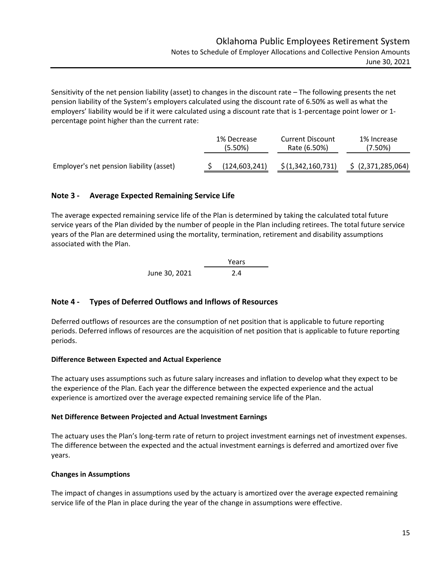Sensitivity of the net pension liability (asset) to changes in the discount rate – The following presents the net pension liability of the System's employers calculated using the discount rate of 6.50% as well as what the employers' liability would be if it were calculated using a discount rate that is 1‐percentage point lower or 1‐ percentage point higher than the current rate:

|                                          | 1% Decrease<br>(5.50%) | <b>Current Discount</b><br>Rate (6.50%) | 1% Increase<br>(7.50%) |
|------------------------------------------|------------------------|-----------------------------------------|------------------------|
| Employer's net pension liability (asset) | (124, 603, 241)        | \$(1,342,160,731)                       | \$ (2,371,285,064)     |

# **Note 3 ‐ Average Expected Remaining Service Life**

The average expected remaining service life of the Plan is determined by taking the calculated total future service years of the Plan divided by the number of people in the Plan including retirees. The total future service years of the Plan are determined using the mortality, termination, retirement and disability assumptions associated with the Plan.

Years June 30, 2021 2.4

# **Note 4 ‐ Types of Deferred Outflows and Inflows of Resources**

Deferred outflows of resources are the consumption of net position that is applicable to future reporting periods. Deferred inflows of resources are the acquisition of net position that is applicable to future reporting periods.

# **Difference Between Expected and Actual Experience**

The actuary uses assumptions such as future salary increases and inflation to develop what they expect to be the experience of the Plan. Each year the difference between the expected experience and the actual experience is amortized over the average expected remaining service life of the Plan.

#### **Net Difference Between Projected and Actual Investment Earnings**

The actuary uses the Plan's long‐term rate of return to project investment earnings net of investment expenses. The difference between the expected and the actual investment earnings is deferred and amortized over five years.

# **Changes in Assumptions**

The impact of changes in assumptions used by the actuary is amortized over the average expected remaining service life of the Plan in place during the year of the change in assumptions were effective.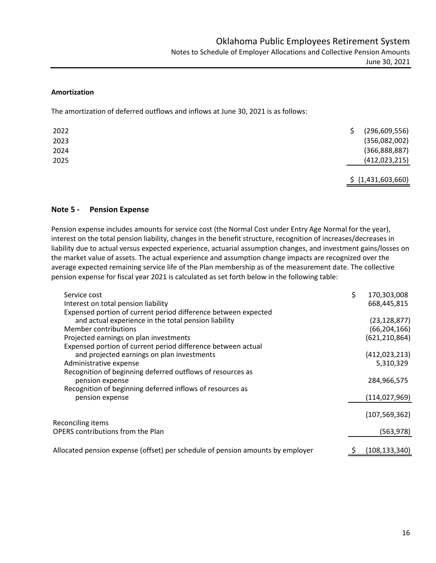#### **Amortization**

The amortization of deferred outflows and inflows at June 30, 2021 is as follows:

| 2022 | (296, 609, 556)                     |  |
|------|-------------------------------------|--|
| 2023 | (356,082,002)                       |  |
| 2024 | (366, 888, 887)                     |  |
| 2025 | (412, 023, 215)                     |  |
|      | $A$ , $A$ , $A \cap A$ , $C \cap A$ |  |

\$ (1,431,603,660)

### **Note 5 ‐ Pension Expense**

Pension expense includes amounts for service cost (the Normal Cost under Entry Age Normal for the year), interest on the total pension liability, changes in the benefit structure, recognition of increases/decreases in liability due to actual versus expected experience, actuarial assumption changes, and investment gains/losses on the market value of assets. The actual experience and assumption change impacts are recognized over the average expected remaining service life of the Plan membership as of the measurement date. The collective pension expense for fiscal year 2021 is calculated as set forth below in the following table:

| Service cost                                                                   | \$<br>170,303,008 |
|--------------------------------------------------------------------------------|-------------------|
| Interest on total pension liability                                            | 668,445,815       |
| Expensed portion of current period difference between expected                 |                   |
| and actual experience in the total pension liability                           | (23, 128, 877)    |
| Member contributions                                                           | (66, 204, 166)    |
| Projected earnings on plan investments                                         | (621, 210, 864)   |
| Expensed portion of current period difference between actual                   |                   |
| and projected earnings on plan investments                                     | (412, 023, 213)   |
| Administrative expense                                                         | 5,310,329         |
| Recognition of beginning deferred outflows of resources as<br>pension expense  | 284,966,575       |
| Recognition of beginning deferred inflows of resources as                      |                   |
| pension expense                                                                | (114, 027, 969)   |
|                                                                                | (107, 569, 362)   |
| Reconciling items                                                              |                   |
| <b>OPERS</b> contributions from the Plan                                       | (563, 978)        |
| Allocated pension expense (offset) per schedule of pension amounts by employer | (108,133,340)     |